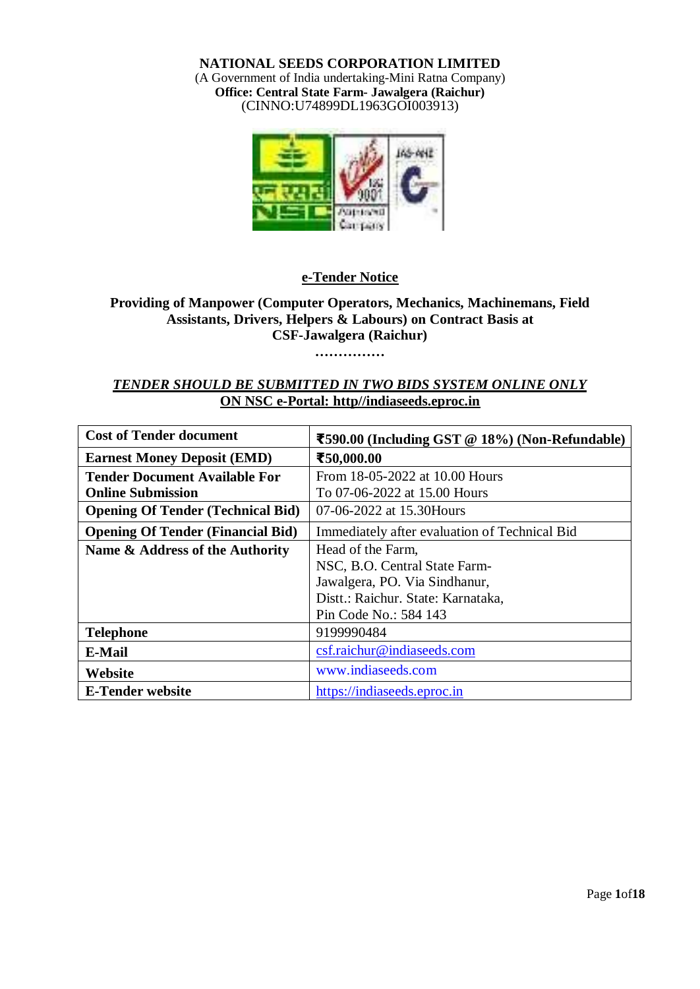**NATIONAL SEEDS CORPORATION LIMITED** (A Government of India undertaking-Mini Ratna Company) **Office: Central State Farm- Jawalgera (Raichur)** (CINNO:U74899DL1963GOI003913)



### **e-Tender Notice**

### **Providing of Manpower (Computer Operators, Mechanics, Machinemans, Field Assistants, Drivers, Helpers & Labours) on Contract Basis at CSF-Jawalgera (Raichur)**

**……………**

### *TENDER SHOULD BE SUBMITTED IN TWO BIDS SYSTEM ONLINE ONLY* **ON NSC e-Portal: http//indiaseeds.eproc.in**

| <b>Cost of Tender document</b>           | ₹590.00 (Including GST @ 18%) (Non-Refundable) |
|------------------------------------------|------------------------------------------------|
| <b>Earnest Money Deposit (EMD)</b>       | ₹50,000.00                                     |
| Tender Document Available For            | From 18-05-2022 at 10.00 Hours                 |
| <b>Online Submission</b>                 | To 07-06-2022 at 15.00 Hours                   |
| <b>Opening Of Tender (Technical Bid)</b> | 07-06-2022 at 15.30 Hours                      |
| <b>Opening Of Tender (Financial Bid)</b> | Immediately after evaluation of Technical Bid  |
| Name & Address of the Authority          | Head of the Farm,                              |
|                                          | NSC, B.O. Central State Farm-                  |
|                                          | Jawalgera, PO. Via Sindhanur,                  |
|                                          | Distt.: Raichur. State: Karnataka,             |
|                                          | Pin Code No.: 584 143                          |
| <b>Telephone</b>                         | 9199990484                                     |
| E-Mail                                   | csf.raichur@indiaseeds.com                     |
| Website                                  | www.indiaseeds.com                             |
| <b>E-Tender website</b>                  | https://indiaseeds.eproc.in                    |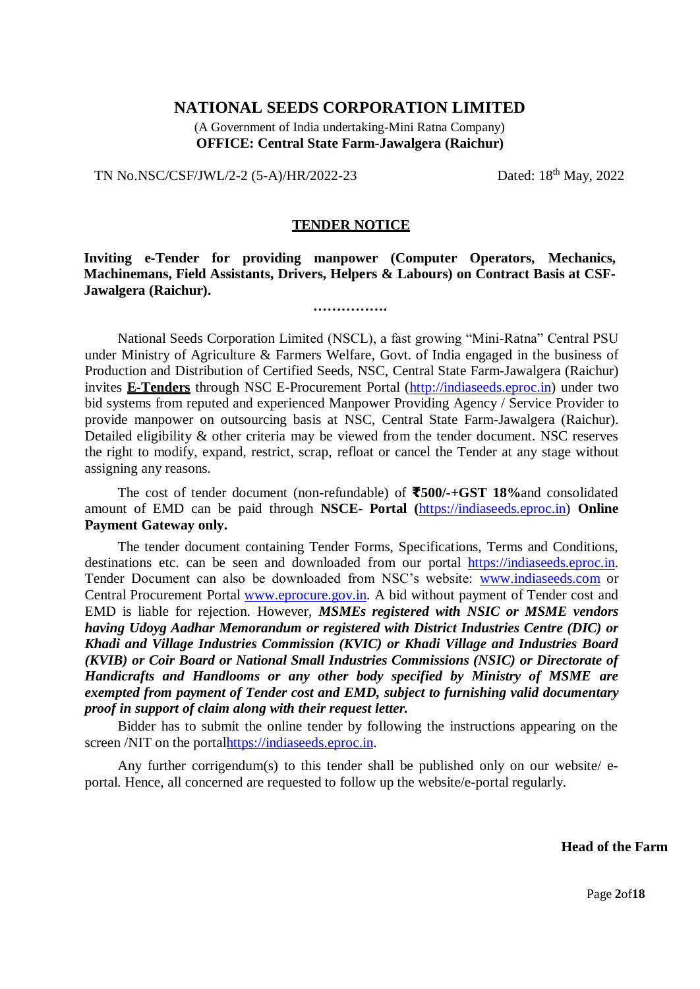### **NATIONAL SEEDS CORPORATION LIMITED**

(A Government of India undertaking-Mini Ratna Company) **OFFICE: Central State Farm-Jawalgera (Raichur)**

TN No.NSC/CSF/JWL/2-2 (5-A)/HR/2022-23

Dated:  $18<sup>th</sup>$  May, 2022

### **TENDER NOTICE**

**Inviting e-Tender for providing manpower (Computer Operators, Mechanics, Machinemans, Field Assistants, Drivers, Helpers & Labours) on Contract Basis at CSF-Jawalgera (Raichur).**

**…………….**

National Seeds Corporation Limited (NSCL), a fast growing "Mini-Ratna" Central PSU under Ministry of Agriculture & Farmers Welfare, Govt. of India engaged in the business of Production and Distribution of Certified Seeds, NSC, Central State Farm-Jawalgera (Raichur) invites **E-Tenders** through NSC E-Procurement Portal [\(http://indiaseeds.eproc.in\)](http://indiaseeds.eproc.in/) under two bid systems from reputed and experienced Manpower Providing Agency / Service Provider to provide manpower on outsourcing basis at NSC, Central State Farm-Jawalgera (Raichur). Detailed eligibility & other criteria may be viewed from the tender document. NSC reserves the right to modify, expand, restrict, scrap, refloat or cancel the Tender at any stage without assigning any reasons.

The cost of tender document (non-refundable) of **₹500/-+GST 18%**and consolidated amount of EMD can be paid through **NSCE- Portal (**[https://indiaseeds.eproc.in\)](https://indiaseeds.eproc.in/) **Online Payment Gateway only.**

The tender document containing Tender Forms, Specifications, Terms and Conditions, destinations etc. can be seen and downloaded from our portal [https://indiaseeds.eproc.in.](https://indiaseeds.eproc.in/) Tender Document can also be downloaded from NSC's website: [www.indiaseeds.com](http://www.indiaseeds.com/) or Central Procurement Portal [www.eprocure.gov.in. A](http://www.eprocure.gov.in/) bid without payment of Tender cost and EMD is liable for rejection. However, *MSMEs registered with NSIC or MSME vendors having Udoyg Aadhar Memorandum or registered with District Industries Centre (DIC) or Khadi and Village Industries Commission (KVIC) or Khadi Village and Industries Board (KVIB) or Coir Board or National Small Industries Commissions (NSIC) or Directorate of Handicrafts and Handlooms or any other body specified by Ministry of MSME are exempted from payment of Tender cost and EMD, subject to furnishing valid documentary proof in support of claim along with their request letter.*

Bidder has to submit the online tender by following the instructions appearing on the screen /NIT on the porta[lhttps://indiaseeds.eproc.in.](https://indiaseeds.eproc.in/)

Any further corrigendum(s) to this tender shall be published only on our website/ eportal. Hence, all concerned are requested to follow up the website/e-portal regularly.

### **Head of the Farm**

Page **2**of**18**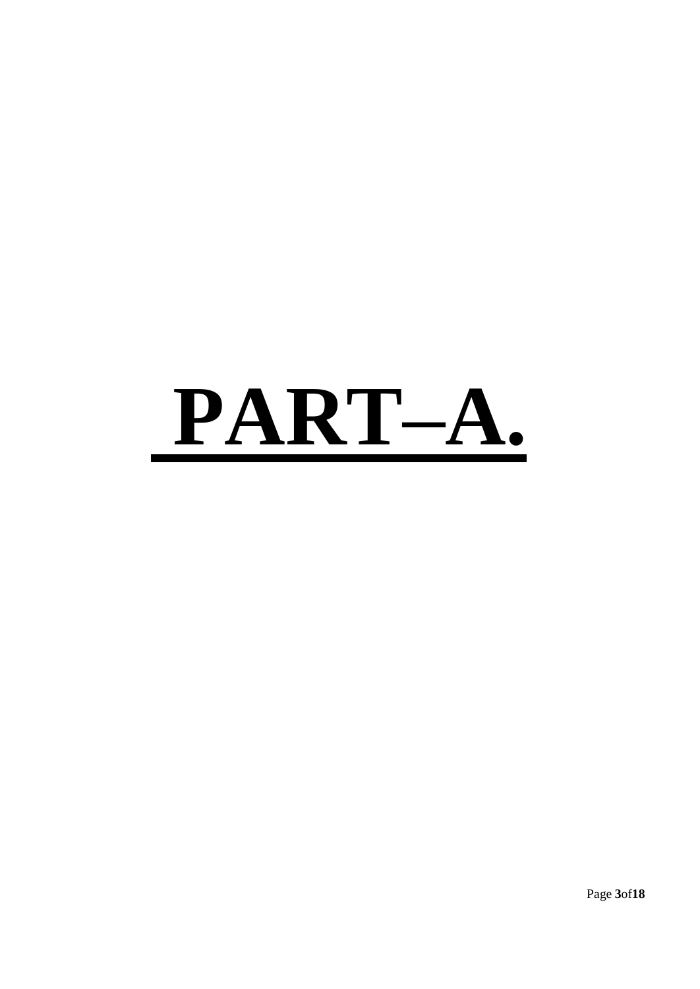# **PART–A.**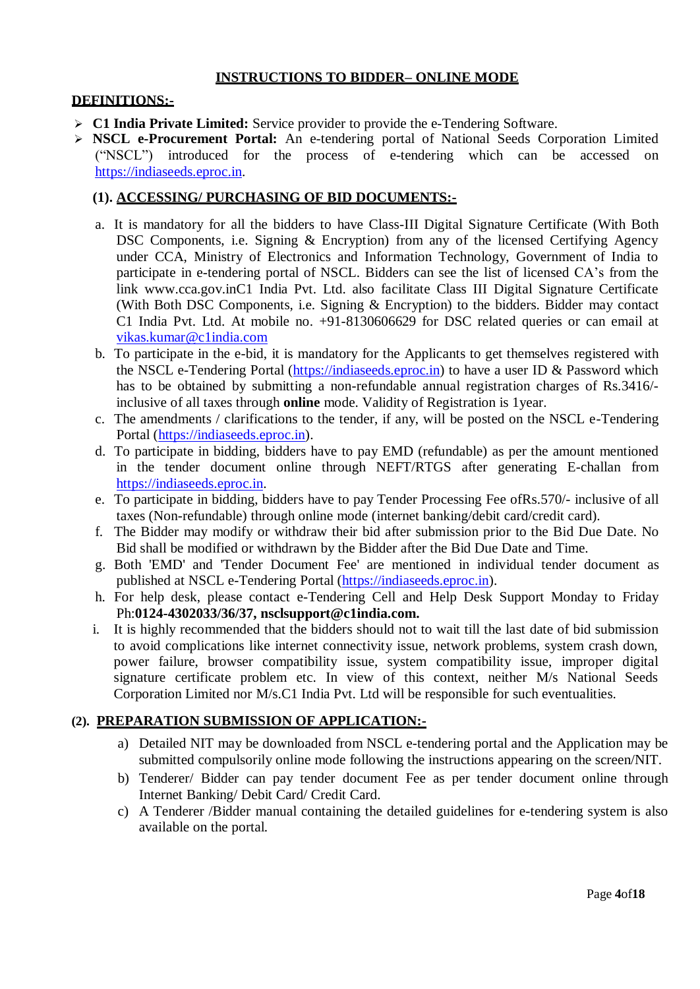### **INSTRUCTIONS TO BIDDER– ONLINE MODE**

### **DEFINITIONS:-**

- **C1 India Private Limited:** Service provider to provide the e-Tendering Software.
- **NSCL e-Procurement Portal:** An e-tendering portal of National Seeds Corporation Limited ("NSCL") introduced for the process of e-tendering which can be accessed on [https://indiaseeds.eproc.in.](https://indiaseeds.eproc.in/)

### **(1). ACCESSING/ PURCHASING OF BID DOCUMENTS:-**

- a. It is mandatory for all the bidders to have Class-III Digital Signature Certificate (With Both DSC Components, i.e. Signing & Encryption) from any of the licensed Certifying Agency under CCA, Ministry of Electronics and Information Technology, Government of India to participate in e-tendering portal of NSCL. Bidders can see the list of licensed CA's from the link [www.cca.gov.inC](http://www.cca.gov.in/)1 India Pvt. Ltd. also facilitate Class III Digital Signature Certificate (With Both DSC Components, i.e. Signing & Encryption) to the bidders. Bidder may contact C1 India Pvt. Ltd. At mobile no. +91-8130606629 for DSC related queries or can email at [vikas.kumar@c1india.com](mailto:vikas.kumar@c1india.com)
- b. To participate in the e-bid, it is mandatory for the Applicants to get themselves registered with the NSCL e-Tendering Portal [\(https://indiaseeds.eproc.in\)](https://indiaseeds.eproc.in/) to have a user ID & Password which has to be obtained by submitting a non-refundable annual registration charges of Rs.3416/ inclusive of all taxes through **online** mode. Validity of Registration is 1year.
- c. The amendments / clarifications to the tender, if any, will be posted on the NSCL e-Tendering Portal [\(https://indiaseeds.eproc.in\)](https://indiaseeds.eproc.in/).
- d. To participate in bidding, bidders have to pay EMD (refundable) as per the amount mentioned in the tender document online through NEFT/RTGS after generating E-challan from [https://indiaseeds.eproc.in.](https://indiaseeds.eproc.in/)
- e. To participate in bidding, bidders have to pay Tender Processing Fee ofRs.570/- inclusive of all taxes (Non-refundable) through online mode (internet banking/debit card/credit card).
- f. The Bidder may modify or withdraw their bid after submission prior to the Bid Due Date. No Bid shall be modified or withdrawn by the Bidder after the Bid Due Date and Time.
- g. Both 'EMD' and 'Tender Document Fee' are mentioned in individual tender document as published at NSCL e-Tendering Portal [\(https://indiaseeds.eproc.in\)](https://indiaseeds.eproc.in/).
- h. For help desk, please contact e-Tendering Cell and Help Desk Support Monday to Friday Ph:**0124-4302033/36/37, [nsclsupport@c1india.com.](mailto:nsclsupport@c1india.com)**
- i. It is highly recommended that the bidders should not to wait till the last date of bid submission to avoid complications like internet connectivity issue, network problems, system crash down, power failure, browser compatibility issue, system compatibility issue, improper digital signature certificate problem etc. In view of this context, neither M/s National Seeds Corporation Limited nor M/s.C1 India Pvt. Ltd will be responsible for such eventualities.

### **(2). PREPARATION SUBMISSION OF APPLICATION:-**

- a) Detailed NIT may be downloaded from NSCL e-tendering portal and the Application may be submitted compulsorily online mode following the instructions appearing on the screen/NIT.
- b) Tenderer/ Bidder can pay tender document Fee as per tender document online through Internet Banking/ Debit Card/ Credit Card.
- c) A Tenderer /Bidder manual containing the detailed guidelines for e-tendering system is also available on the portal.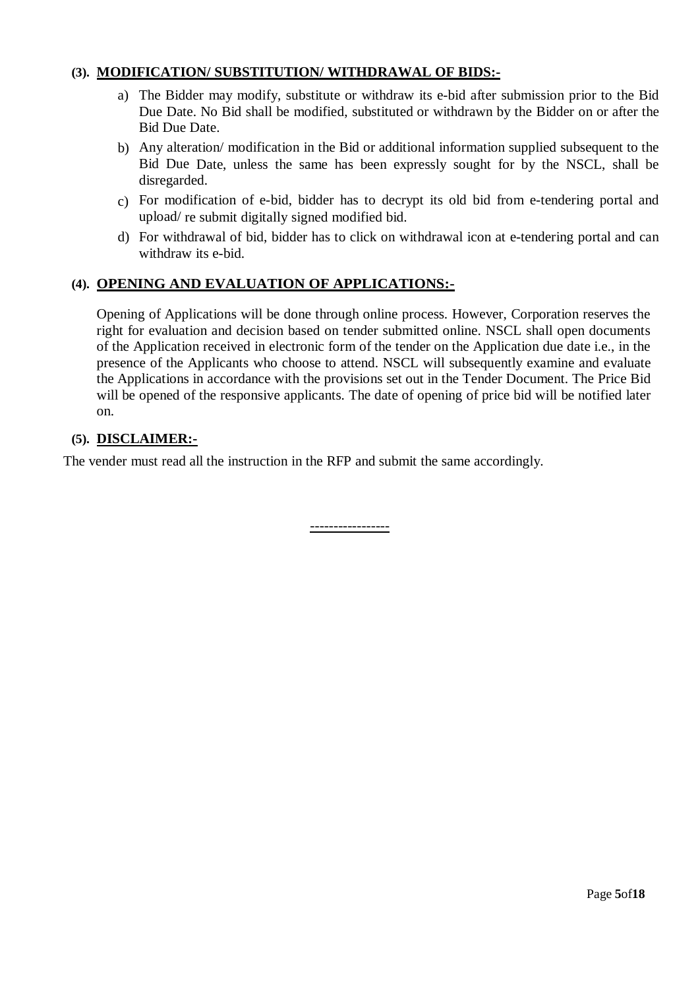### **(3). MODIFICATION/ SUBSTITUTION/ WITHDRAWAL OF BIDS:-**

- a) The Bidder may modify, substitute or withdraw its e-bid after submission prior to the Bid Due Date. No Bid shall be modified, substituted or withdrawn by the Bidder on or after the Bid Due Date.
- b) Any alteration/ modification in the Bid or additional information supplied subsequent to the Bid Due Date, unless the same has been expressly sought for by the NSCL, shall be disregarded.
- c) For modification of e-bid, bidder has to decrypt its old bid from e-tendering portal and upload/ re submit digitally signed modified bid.
- d) For withdrawal of bid, bidder has to click on withdrawal icon at e-tendering portal and can withdraw its e-bid.

### **(4). OPENING AND EVALUATION OF APPLICATIONS:-**

Opening of Applications will be done through online process. However, Corporation reserves the right for evaluation and decision based on tender submitted online. NSCL shall open documents of the Application received in electronic form of the tender on the Application due date i.e., in the presence of the Applicants who choose to attend. NSCL will subsequently examine and evaluate the Applications in accordance with the provisions set out in the Tender Document. The Price Bid will be opened of the responsive applicants. The date of opening of price bid will be notified later on.

### **(5). DISCLAIMER:-**

The vender must read all the instruction in the RFP and submit the same accordingly.

-----------------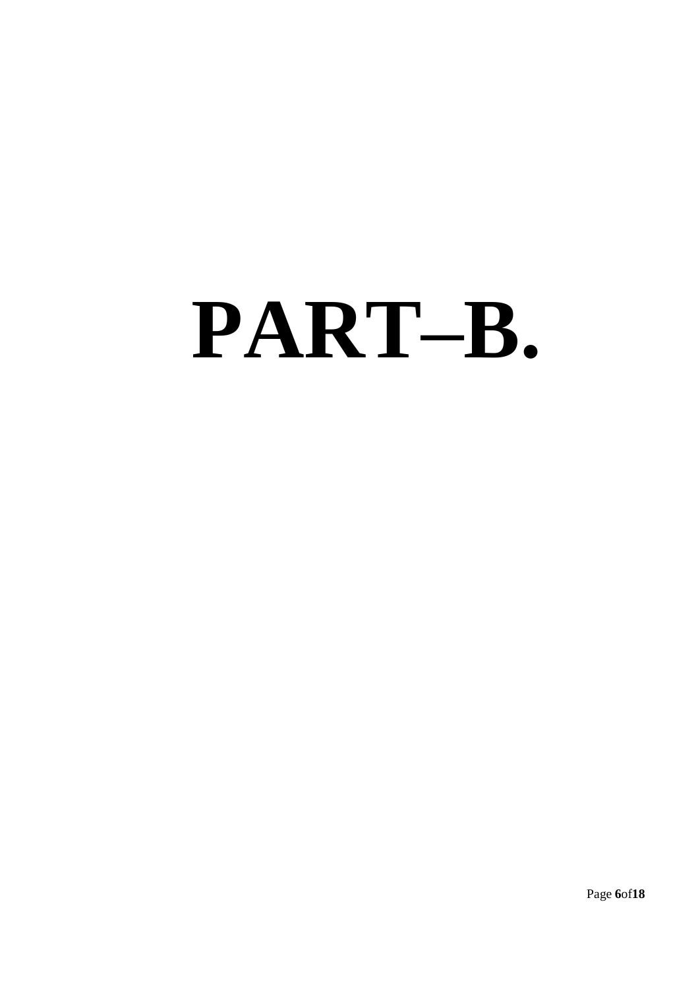# **PART–B.**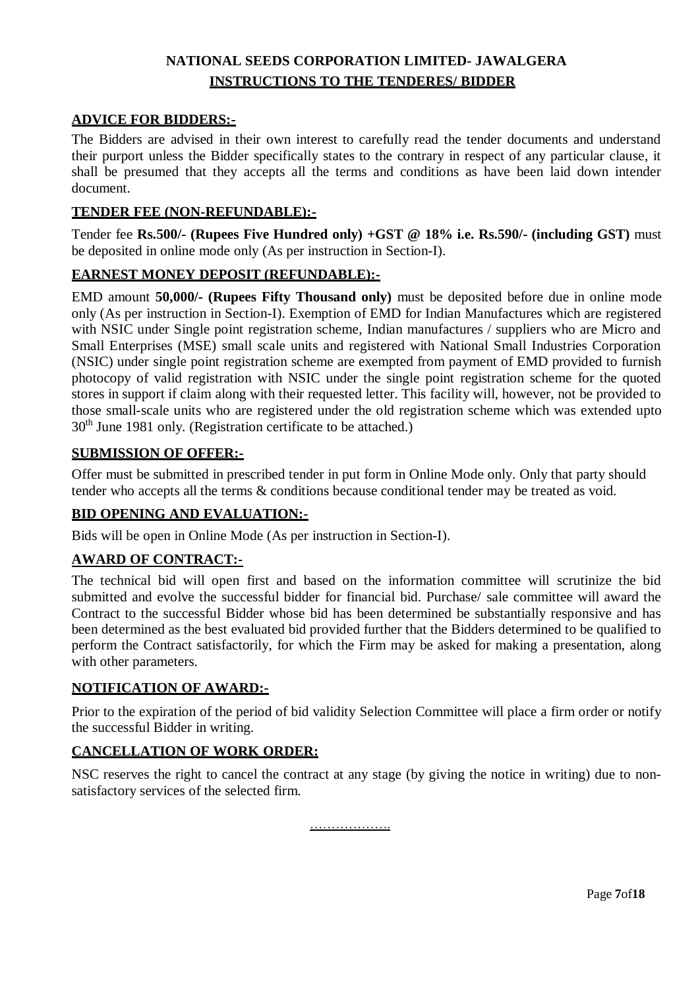### **NATIONAL SEEDS CORPORATION LIMITED- JAWALGERA INSTRUCTIONS TO THE TENDERES/ BIDDER**

### **ADVICE FOR BIDDERS:-**

The Bidders are advised in their own interest to carefully read the tender documents and understand their purport unless the Bidder specifically states to the contrary in respect of any particular clause, it shall be presumed that they accepts all the terms and conditions as have been laid down intender document.

### **TENDER FEE (NON-REFUNDABLE):-**

Tender fee **Rs.500/- (Rupees Five Hundred only) +GST @ 18% i.e. Rs.590/- (including GST)** must be deposited in online mode only (As per instruction in Section-I).

### **EARNEST MONEY DEPOSIT (REFUNDABLE):-**

EMD amount **50,000/- (Rupees Fifty Thousand only)** must be deposited before due in online mode only (As per instruction in Section-I). Exemption of EMD for Indian Manufactures which are registered with NSIC under Single point registration scheme, Indian manufactures / suppliers who are Micro and Small Enterprises (MSE) small scale units and registered with National Small Industries Corporation (NSIC) under single point registration scheme are exempted from payment of EMD provided to furnish photocopy of valid registration with NSIC under the single point registration scheme for the quoted stores in support if claim along with their requested letter. This facility will, however, not be provided to those small-scale units who are registered under the old registration scheme which was extended upto 30th June 1981 only. (Registration certificate to be attached.)

### **SUBMISSION OF OFFER:-**

Offer must be submitted in prescribed tender in put form in Online Mode only. Only that party should tender who accepts all the terms & conditions because conditional tender may be treated as void.

### **BID OPENING AND EVALUATION:-**

Bids will be open in Online Mode (As per instruction in Section-I).

### **AWARD OF CONTRACT:-**

The technical bid will open first and based on the information committee will scrutinize the bid submitted and evolve the successful bidder for financial bid. Purchase/ sale committee will award the Contract to the successful Bidder whose bid has been determined be substantially responsive and has been determined as the best evaluated bid provided further that the Bidders determined to be qualified to perform the Contract satisfactorily, for which the Firm may be asked for making a presentation, along with other parameters.

### **NOTIFICATION OF AWARD:-**

Prior to the expiration of the period of bid validity Selection Committee will place a firm order or notify the successful Bidder in writing.

### **CANCELLATION OF WORK ORDER:**

NSC reserves the right to cancel the contract at any stage (by giving the notice in writing) due to nonsatisfactory services of the selected firm.

…………………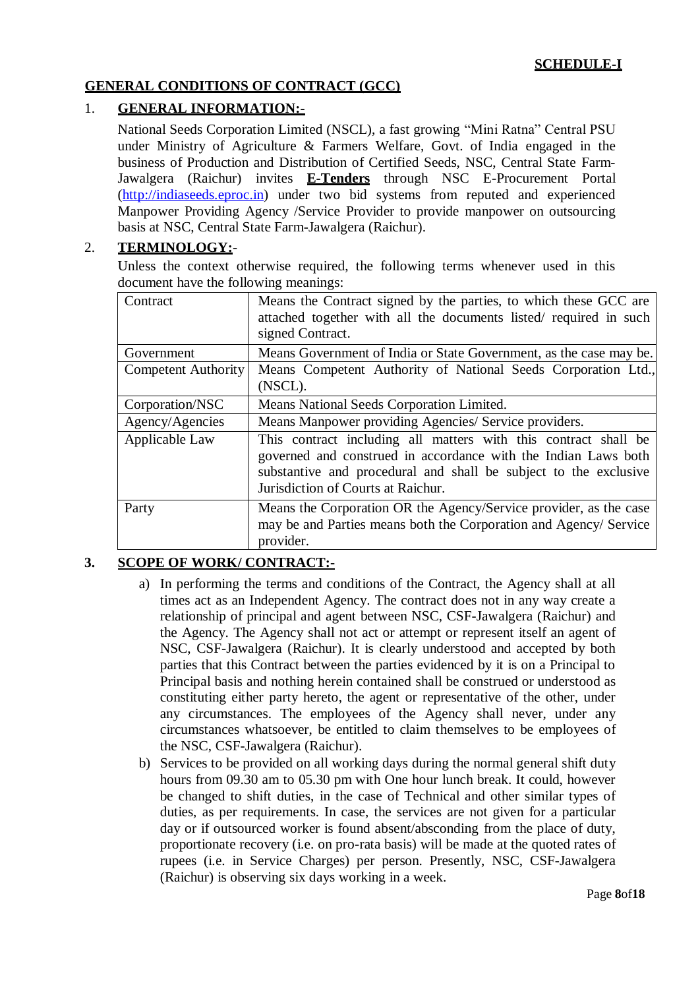### **GENERAL CONDITIONS OF CONTRACT (GCC)**

### 1. **GENERAL INFORMATION:-**

National Seeds Corporation Limited (NSCL), a fast growing "Mini Ratna" Central PSU under Ministry of Agriculture & Farmers Welfare, Govt. of India engaged in the business of Production and Distribution of Certified Seeds, NSC, Central State Farm-Jawalgera (Raichur) invites **E-Tenders** through NSC E-Procurement Portal [\(http://indiaseeds.eproc.in\)](http://indiaseeds.eproc.in/) under two bid systems from reputed and experienced Manpower Providing Agency /Service Provider to provide manpower on outsourcing basis at NSC, Central State Farm-Jawalgera (Raichur).

### 2. **TERMINOLOGY:**-

Unless the context otherwise required, the following terms whenever used in this document have the following meanings:

| Contract            | Means the Contract signed by the parties, to which these GCC are   |
|---------------------|--------------------------------------------------------------------|
|                     | attached together with all the documents listed/ required in such  |
|                     | signed Contract.                                                   |
| Government          | Means Government of India or State Government, as the case may be. |
| Competent Authority | Means Competent Authority of National Seeds Corporation Ltd.,      |
|                     | (NSCL).                                                            |
| Corporation/NSC     | Means National Seeds Corporation Limited.                          |
| Agency/Agencies     | Means Manpower providing Agencies/ Service providers.              |
| Applicable Law      | This contract including all matters with this contract shall be    |
|                     | governed and construed in accordance with the Indian Laws both     |
|                     | substantive and procedural and shall be subject to the exclusive   |
|                     | Jurisdiction of Courts at Raichur.                                 |
| Party               | Means the Corporation OR the Agency/Service provider, as the case  |
|                     | may be and Parties means both the Corporation and Agency/ Service  |
|                     | provider.                                                          |

### **3. SCOPE OF WORK/ CONTRACT:-**

- a) In performing the terms and conditions of the Contract, the Agency shall at all times act as an Independent Agency. The contract does not in any way create a relationship of principal and agent between NSC, CSF-Jawalgera (Raichur) and the Agency. The Agency shall not act or attempt or represent itself an agent of NSC, CSF-Jawalgera (Raichur). It is clearly understood and accepted by both parties that this Contract between the parties evidenced by it is on a Principal to Principal basis and nothing herein contained shall be construed or understood as constituting either party hereto, the agent or representative of the other, under any circumstances. The employees of the Agency shall never, under any circumstances whatsoever, be entitled to claim themselves to be employees of the NSC, CSF-Jawalgera (Raichur).
- b) Services to be provided on all working days during the normal general shift duty hours from 09.30 am to 05.30 pm with One hour lunch break. It could, however be changed to shift duties, in the case of Technical and other similar types of duties, as per requirements. In case, the services are not given for a particular day or if outsourced worker is found absent/absconding from the place of duty, proportionate recovery (i.e. on pro-rata basis) will be made at the quoted rates of rupees (i.e. in Service Charges) per person. Presently, NSC, CSF-Jawalgera (Raichur) is observing six days working in a week.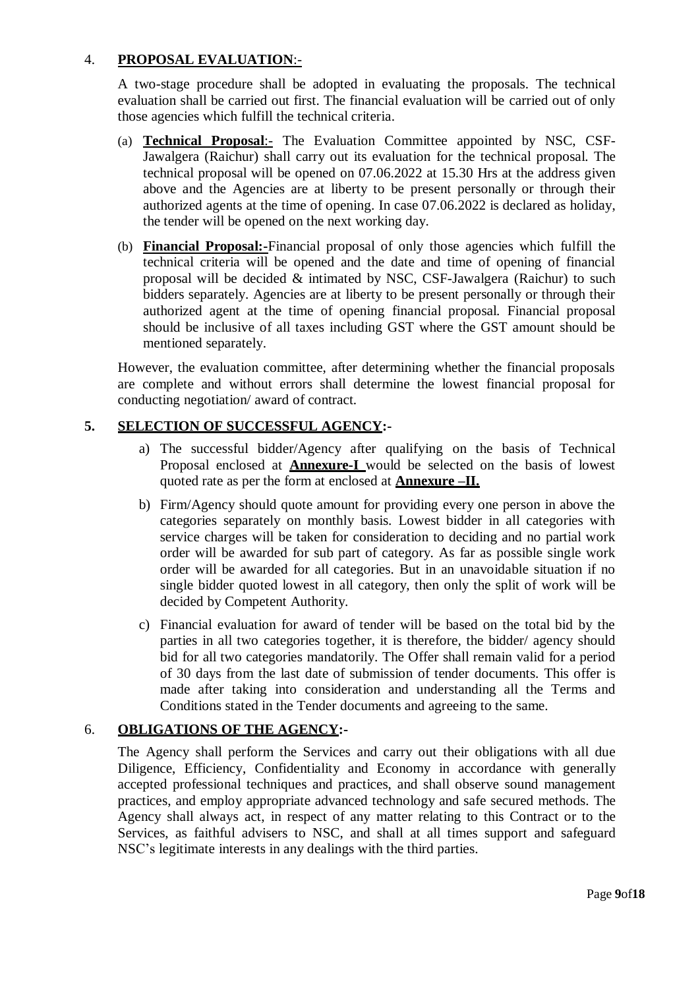### 4. **PROPOSAL EVALUATION**:-

A two-stage procedure shall be adopted in evaluating the proposals. The technical evaluation shall be carried out first. The financial evaluation will be carried out of only those agencies which fulfill the technical criteria.

- (a) **Technical Proposal**:- The Evaluation Committee appointed by NSC, CSF-Jawalgera (Raichur) shall carry out its evaluation for the technical proposal. The technical proposal will be opened on 07.06.2022 at 15.30 Hrs at the address given above and the Agencies are at liberty to be present personally or through their authorized agents at the time of opening. In case 07.06.2022 is declared as holiday, the tender will be opened on the next working day.
- (b) **Financial Proposal:-**Financial proposal of only those agencies which fulfill the technical criteria will be opened and the date and time of opening of financial proposal will be decided & intimated by NSC, CSF-Jawalgera (Raichur) to such bidders separately. Agencies are at liberty to be present personally or through their authorized agent at the time of opening financial proposal. Financial proposal should be inclusive of all taxes including GST where the GST amount should be mentioned separately.

However, the evaluation committee, after determining whether the financial proposals are complete and without errors shall determine the lowest financial proposal for conducting negotiation/ award of contract.

### **5. SELECTION OF SUCCESSFUL AGENCY:-**

- a) The successful bidder/Agency after qualifying on the basis of Technical Proposal enclosed at **Annexure-I** would be selected on the basis of lowest quoted rate as per the form at enclosed at **Annexure –II.**
- b) Firm/Agency should quote amount for providing every one person in above the categories separately on monthly basis. Lowest bidder in all categories with service charges will be taken for consideration to deciding and no partial work order will be awarded for sub part of category. As far as possible single work order will be awarded for all categories. But in an unavoidable situation if no single bidder quoted lowest in all category, then only the split of work will be decided by Competent Authority.
- c) Financial evaluation for award of tender will be based on the total bid by the parties in all two categories together, it is therefore, the bidder/ agency should bid for all two categories mandatorily. The Offer shall remain valid for a period of 30 days from the last date of submission of tender documents. This offer is made after taking into consideration and understanding all the Terms and Conditions stated in the Tender documents and agreeing to the same.

### 6. **OBLIGATIONS OF THE AGENCY:-**

The Agency shall perform the Services and carry out their obligations with all due Diligence, Efficiency, Confidentiality and Economy in accordance with generally accepted professional techniques and practices, and shall observe sound management practices, and employ appropriate advanced technology and safe secured methods. The Agency shall always act, in respect of any matter relating to this Contract or to the Services, as faithful advisers to NSC, and shall at all times support and safeguard NSC's legitimate interests in any dealings with the third parties.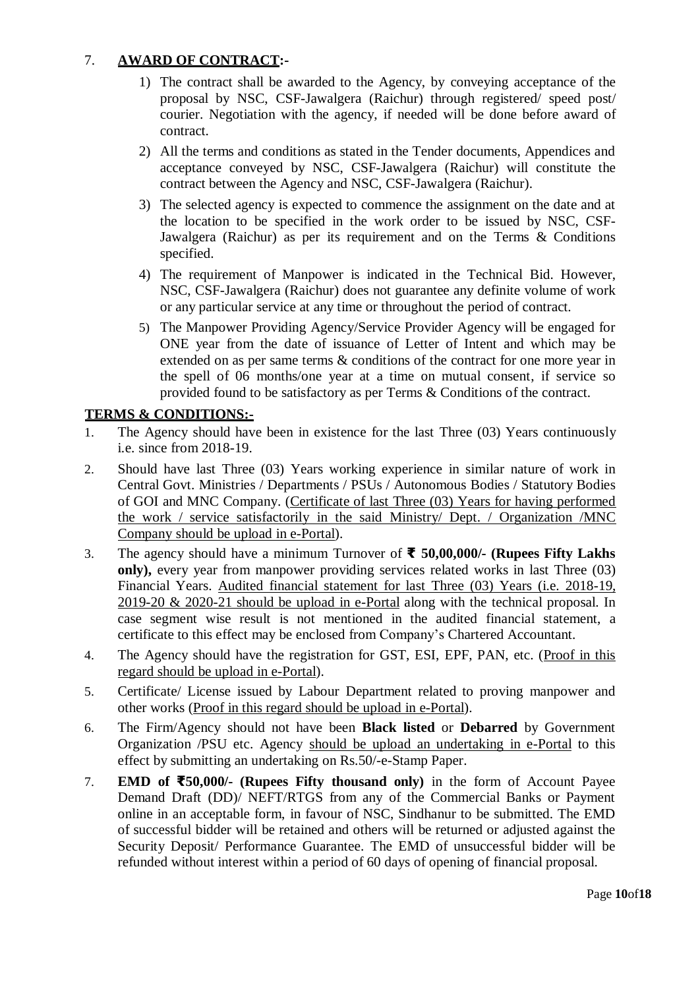### 7. **AWARD OF CONTRACT:-**

- 1) The contract shall be awarded to the Agency, by conveying acceptance of the proposal by NSC, CSF-Jawalgera (Raichur) through registered/ speed post/ courier. Negotiation with the agency, if needed will be done before award of contract.
- 2) All the terms and conditions as stated in the Tender documents, Appendices and acceptance conveyed by NSC, CSF-Jawalgera (Raichur) will constitute the contract between the Agency and NSC, CSF-Jawalgera (Raichur).
- 3) The selected agency is expected to commence the assignment on the date and at the location to be specified in the work order to be issued by NSC, CSF-Jawalgera (Raichur) as per its requirement and on the Terms & Conditions specified.
- 4) The requirement of Manpower is indicated in the Technical Bid. However, NSC, CSF-Jawalgera (Raichur) does not guarantee any definite volume of work or any particular service at any time or throughout the period of contract.
- 5) The Manpower Providing Agency/Service Provider Agency will be engaged for ONE year from the date of issuance of Letter of Intent and which may be extended on as per same terms & conditions of the contract for one more year in the spell of 06 months/one year at a time on mutual consent, if service so provided found to be satisfactory as per Terms & Conditions of the contract.

### **TERMS & CONDITIONS:-**

- 1. The Agency should have been in existence for the last Three (03) Years continuously i.e. since from 2018-19.
- 2. Should have last Three (03) Years working experience in similar nature of work in Central Govt. Ministries / Departments / PSUs / Autonomous Bodies / Statutory Bodies of GOI and MNC Company. (Certificate of last Three (03) Years for having performed the work / service satisfactorily in the said Ministry/ Dept. / Organization /MNC Company should be upload in e-Portal).
- 3. The agency should have a minimum Turnover of **₹ 50,00,000/- (Rupees Fifty Lakhs only),** every year from manpower providing services related works in last Three (03) Financial Years. Audited financial statement for last Three (03) Years (i.e. 2018-19, 2019-20 & 2020-21 should be upload in e-Portal along with the technical proposal. In case segment wise result is not mentioned in the audited financial statement, a certificate to this effect may be enclosed from Company's Chartered Accountant.
- 4. The Agency should have the registration for GST, ESI, EPF, PAN, etc. (Proof in this regard should be upload in e-Portal).
- 5. Certificate/ License issued by Labour Department related to proving manpower and other works (Proof in this regard should be upload in e-Portal).
- 6. The Firm/Agency should not have been **Black listed** or **Debarred** by Government Organization /PSU etc. Agency should be upload an undertaking in e-Portal to this effect by submitting an undertaking on Rs.50/-e-Stamp Paper.
- 7. **EMD of ₹50,000/- (Rupees Fifty thousand only)** in the form of Account Payee Demand Draft (DD)/ NEFT/RTGS from any of the Commercial Banks or Payment online in an acceptable form, in favour of NSC, Sindhanur to be submitted. The EMD of successful bidder will be retained and others will be returned or adjusted against the Security Deposit/ Performance Guarantee. The EMD of unsuccessful bidder will be refunded without interest within a period of 60 days of opening of financial proposal.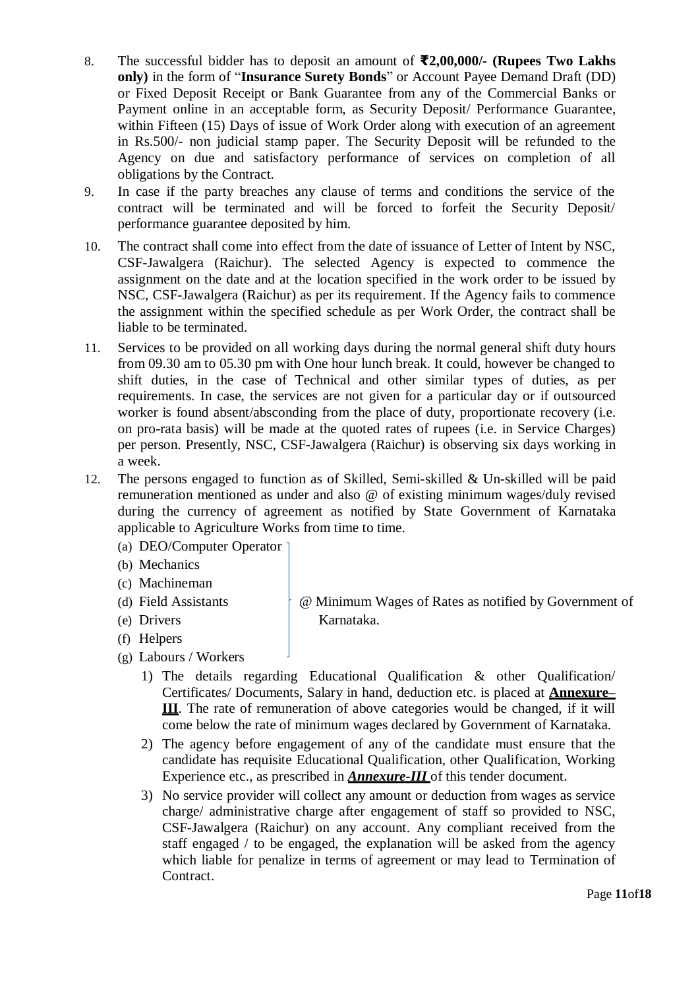- 8. The successful bidder has to deposit an amount of **₹2,00,000/- (Rupees Two Lakhs only)** in the form of "**Insurance Surety Bonds**" or Account Payee Demand Draft (DD) or Fixed Deposit Receipt or Bank Guarantee from any of the Commercial Banks or Payment online in an acceptable form, as Security Deposit/ Performance Guarantee, within Fifteen (15) Days of issue of Work Order along with execution of an agreement in Rs.500/- non judicial stamp paper. The Security Deposit will be refunded to the Agency on due and satisfactory performance of services on completion of all obligations by the Contract.
- 9. In case if the party breaches any clause of terms and conditions the service of the contract will be terminated and will be forced to forfeit the Security Deposit/ performance guarantee deposited by him.
- 10. The contract shall come into effect from the date of issuance of Letter of Intent by NSC, CSF-Jawalgera (Raichur). The selected Agency is expected to commence the assignment on the date and at the location specified in the work order to be issued by NSC, CSF-Jawalgera (Raichur) as per its requirement. If the Agency fails to commence the assignment within the specified schedule as per Work Order, the contract shall be liable to be terminated.
- 11. Services to be provided on all working days during the normal general shift duty hours from 09.30 am to 05.30 pm with One hour lunch break. It could, however be changed to shift duties, in the case of Technical and other similar types of duties, as per requirements. In case, the services are not given for a particular day or if outsourced worker is found absent/absconding from the place of duty, proportionate recovery (i.e. on pro-rata basis) will be made at the quoted rates of rupees (i.e. in Service Charges) per person. Presently, NSC, CSF-Jawalgera (Raichur) is observing six days working in a week.
- 12. The persons engaged to function as of Skilled, Semi-skilled & Un-skilled will be paid remuneration mentioned as under and also @ of existing minimum wages/duly revised during the currency of agreement as notified by State Government of Karnataka applicable to Agriculture Works from time to time.
	- (a) DEO/Computer Operator
	- (b) Mechanics
	- (c) Machineman
	-
	-
	- (f) Helpers
- - (g) Labours / Workers
		- 1) The details regarding Educational Qualification & other Qualification/ Certificates/ Documents, Salary in hand, deduction etc. is placed at **Annexure– III**. The rate of remuneration of above categories would be changed, if it will come below the rate of minimum wages declared by Government of Karnataka.
		- 2) The agency before engagement of any of the candidate must ensure that the candidate has requisite Educational Qualification, other Qualification, Working Experience etc., as prescribed in *Annexure-III* of this tender document.
		- 3) No service provider will collect any amount or deduction from wages as service charge/ administrative charge after engagement of staff so provided to NSC, CSF-Jawalgera (Raichur) on any account. Any compliant received from the staff engaged / to be engaged, the explanation will be asked from the agency which liable for penalize in terms of agreement or may lead to Termination of Contract.

(d) Field Assistants @ Minimum Wages of Rates as notified by Government of (e) Drivers Karnataka.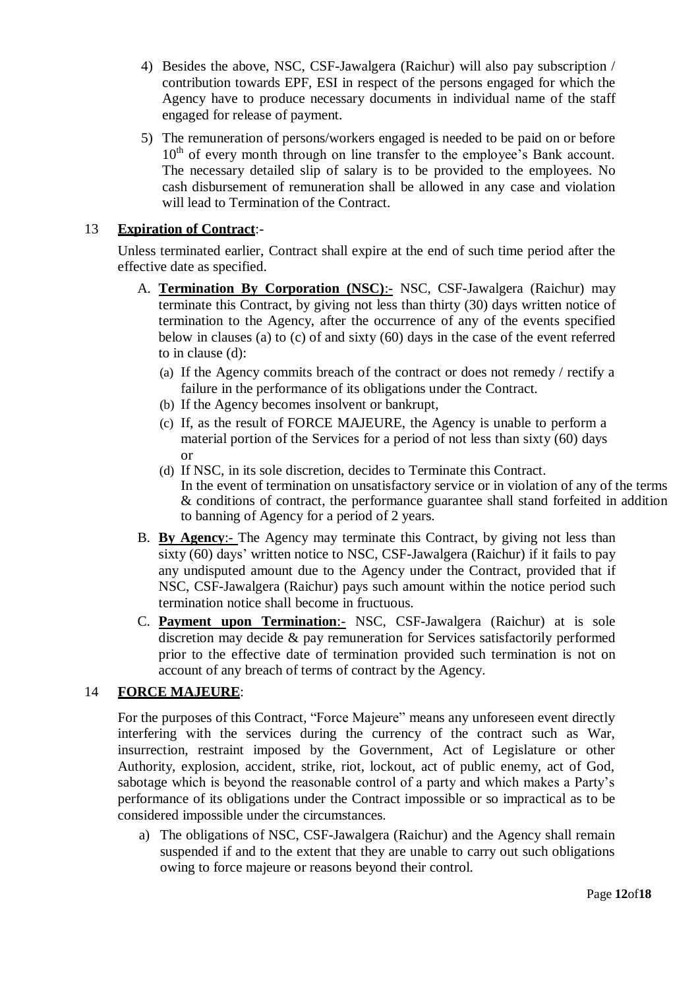- 4) Besides the above, NSC, CSF-Jawalgera (Raichur) will also pay subscription / contribution towards EPF, ESI in respect of the persons engaged for which the Agency have to produce necessary documents in individual name of the staff engaged for release of payment.
- 5) The remuneration of persons/workers engaged is needed to be paid on or before  $10<sup>th</sup>$  of every month through on line transfer to the employee's Bank account. The necessary detailed slip of salary is to be provided to the employees. No cash disbursement of remuneration shall be allowed in any case and violation will lead to Termination of the Contract.

### 13 **Expiration of Contract**:-

Unless terminated earlier, Contract shall expire at the end of such time period after the effective date as specified.

- A. **Termination By Corporation (NSC):-** NSC, CSF-Jawalgera (Raichur) may terminate this Contract, by giving not less than thirty (30) days written notice of termination to the Agency, after the occurrence of any of the events specified below in clauses (a) to (c) of and sixty (60) days in the case of the event referred to in clause (d):
	- (a) If the Agency commits breach of the contract or does not remedy / rectify a failure in the performance of its obligations under the Contract.
	- (b) If the Agency becomes insolvent or bankrupt,
	- (c) If, as the result of FORCE MAJEURE, the Agency is unable to perform a material portion of the Services for a period of not less than sixty (60) days or
	- (d) If NSC, in its sole discretion, decides to Terminate this Contract. In the event of termination on unsatisfactory service or in violation of any of the terms & conditions of contract, the performance guarantee shall stand forfeited in addition to banning of Agency for a period of 2 years.
- B. **By Agency**:- The Agency may terminate this Contract, by giving not less than sixty (60) days' written notice to NSC, CSF-Jawalgera (Raichur) if it fails to pay any undisputed amount due to the Agency under the Contract, provided that if NSC, CSF-Jawalgera (Raichur) pays such amount within the notice period such termination notice shall become in fructuous.
- C. **Payment upon Termination**:- NSC, CSF-Jawalgera (Raichur) at is sole discretion may decide & pay remuneration for Services satisfactorily performed prior to the effective date of termination provided such termination is not on account of any breach of terms of contract by the Agency.

### 14 **FORCE MAJEURE**:

For the purposes of this Contract, "Force Majeure" means any unforeseen event directly interfering with the services during the currency of the contract such as War, insurrection, restraint imposed by the Government, Act of Legislature or other Authority, explosion, accident, strike, riot, lockout, act of public enemy, act of God, sabotage which is beyond the reasonable control of a party and which makes a Party's performance of its obligations under the Contract impossible or so impractical as to be considered impossible under the circumstances.

a) The obligations of NSC, CSF-Jawalgera (Raichur) and the Agency shall remain suspended if and to the extent that they are unable to carry out such obligations owing to force majeure or reasons beyond their control.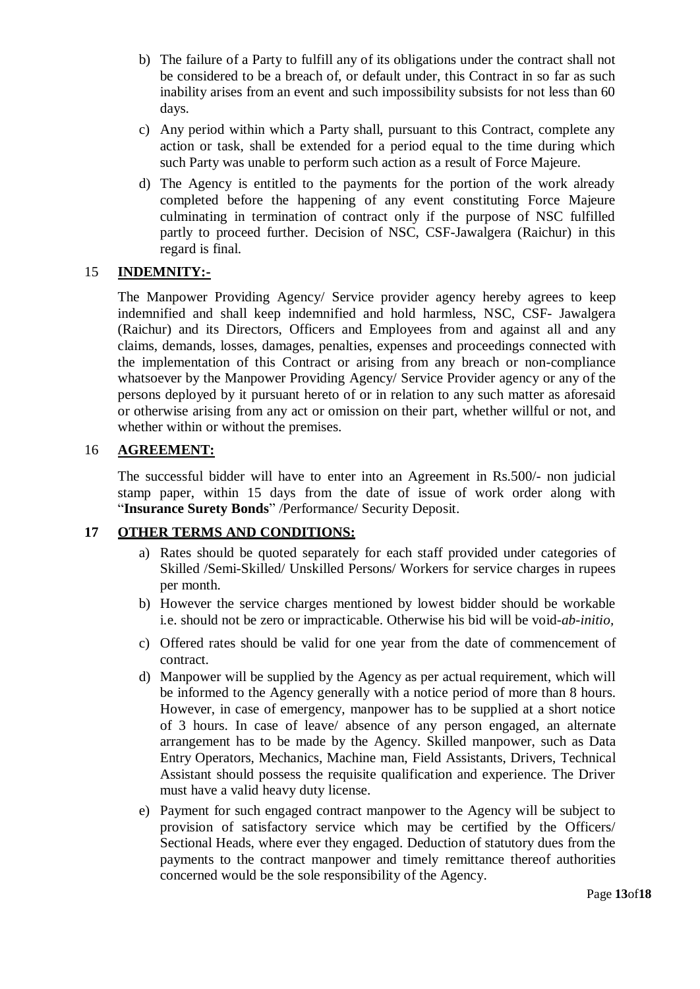- b) The failure of a Party to fulfill any of its obligations under the contract shall not be considered to be a breach of, or default under, this Contract in so far as such inability arises from an event and such impossibility subsists for not less than 60 days.
- c) Any period within which a Party shall, pursuant to this Contract, complete any action or task, shall be extended for a period equal to the time during which such Party was unable to perform such action as a result of Force Majeure.
- d) The Agency is entitled to the payments for the portion of the work already completed before the happening of any event constituting Force Majeure culminating in termination of contract only if the purpose of NSC fulfilled partly to proceed further. Decision of NSC, CSF-Jawalgera (Raichur) in this regard is final.

### 15 **INDEMNITY:-**

The Manpower Providing Agency/ Service provider agency hereby agrees to keep indemnified and shall keep indemnified and hold harmless, NSC, CSF- Jawalgera (Raichur) and its Directors, Officers and Employees from and against all and any claims, demands, losses, damages, penalties, expenses and proceedings connected with the implementation of this Contract or arising from any breach or non-compliance whatsoever by the Manpower Providing Agency/ Service Provider agency or any of the persons deployed by it pursuant hereto of or in relation to any such matter as aforesaid or otherwise arising from any act or omission on their part, whether willful or not, and whether within or without the premises.

### 16 **AGREEMENT:**

The successful bidder will have to enter into an Agreement in Rs.500/- non judicial stamp paper, within 15 days from the date of issue of work order along with "**Insurance Surety Bonds**" /Performance/ Security Deposit.

### **17 OTHER TERMS AND CONDITIONS:**

- a) Rates should be quoted separately for each staff provided under categories of Skilled /Semi-Skilled/ Unskilled Persons/ Workers for service charges in rupees per month.
- b) However the service charges mentioned by lowest bidder should be workable i.e. should not be zero or impracticable. Otherwise his bid will be void-*ab-initio,*
- c) Offered rates should be valid for one year from the date of commencement of contract.
- d) Manpower will be supplied by the Agency as per actual requirement, which will be informed to the Agency generally with a notice period of more than 8 hours. However, in case of emergency, manpower has to be supplied at a short notice of 3 hours. In case of leave/ absence of any person engaged, an alternate arrangement has to be made by the Agency. Skilled manpower, such as Data Entry Operators, Mechanics, Machine man, Field Assistants, Drivers, Technical Assistant should possess the requisite qualification and experience. The Driver must have a valid heavy duty license.
- e) Payment for such engaged contract manpower to the Agency will be subject to provision of satisfactory service which may be certified by the Officers/ Sectional Heads, where ever they engaged. Deduction of statutory dues from the payments to the contract manpower and timely remittance thereof authorities concerned would be the sole responsibility of the Agency.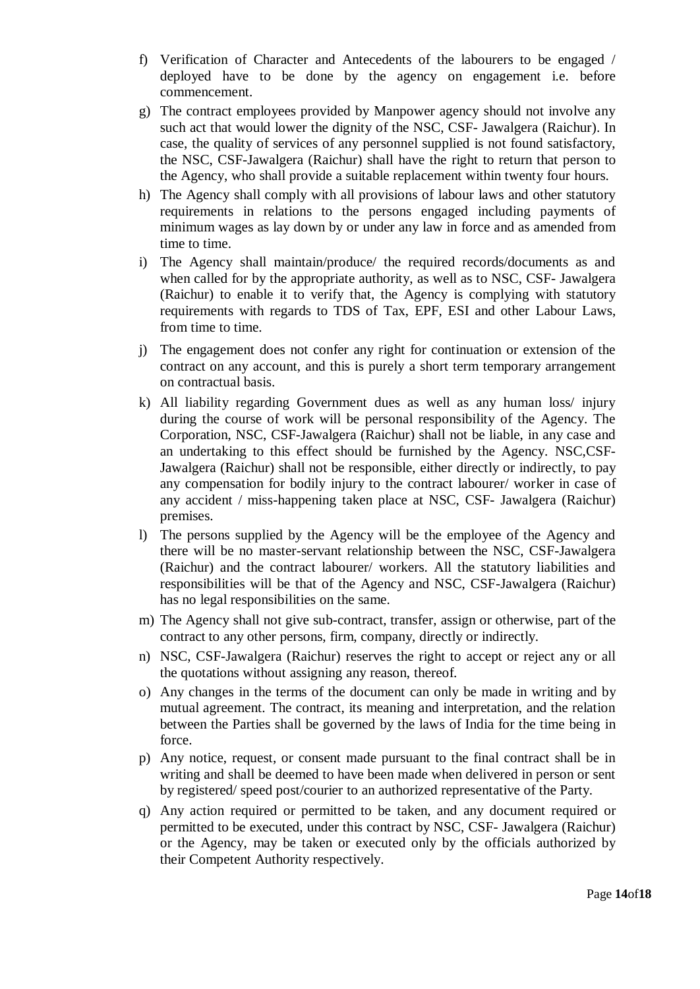- f) Verification of Character and Antecedents of the labourers to be engaged / deployed have to be done by the agency on engagement i.e. before commencement.
- g) The contract employees provided by Manpower agency should not involve any such act that would lower the dignity of the NSC, CSF- Jawalgera (Raichur). In case, the quality of services of any personnel supplied is not found satisfactory, the NSC, CSF-Jawalgera (Raichur) shall have the right to return that person to the Agency, who shall provide a suitable replacement within twenty four hours.
- h) The Agency shall comply with all provisions of labour laws and other statutory requirements in relations to the persons engaged including payments of minimum wages as lay down by or under any law in force and as amended from time to time.
- i) The Agency shall maintain/produce/ the required records/documents as and when called for by the appropriate authority, as well as to NSC, CSF- Jawalgera (Raichur) to enable it to verify that, the Agency is complying with statutory requirements with regards to TDS of Tax, EPF, ESI and other Labour Laws, from time to time.
- j) The engagement does not confer any right for continuation or extension of the contract on any account, and this is purely a short term temporary arrangement on contractual basis.
- k) All liability regarding Government dues as well as any human loss/ injury during the course of work will be personal responsibility of the Agency. The Corporation, NSC, CSF-Jawalgera (Raichur) shall not be liable, in any case and an undertaking to this effect should be furnished by the Agency. NSC,CSF-Jawalgera (Raichur) shall not be responsible, either directly or indirectly, to pay any compensation for bodily injury to the contract labourer/ worker in case of any accident / miss-happening taken place at NSC, CSF- Jawalgera (Raichur) premises.
- l) The persons supplied by the Agency will be the employee of the Agency and there will be no master-servant relationship between the NSC, CSF-Jawalgera (Raichur) and the contract labourer/ workers. All the statutory liabilities and responsibilities will be that of the Agency and NSC, CSF-Jawalgera (Raichur) has no legal responsibilities on the same.
- m) The Agency shall not give sub-contract, transfer, assign or otherwise, part of the contract to any other persons, firm, company, directly or indirectly.
- n) NSC, CSF-Jawalgera (Raichur) reserves the right to accept or reject any or all the quotations without assigning any reason, thereof.
- o) Any changes in the terms of the document can only be made in writing and by mutual agreement. The contract, its meaning and interpretation, and the relation between the Parties shall be governed by the laws of India for the time being in force.
- p) Any notice, request, or consent made pursuant to the final contract shall be in writing and shall be deemed to have been made when delivered in person or sent by registered/ speed post/courier to an authorized representative of the Party.
- q) Any action required or permitted to be taken, and any document required or permitted to be executed, under this contract by NSC, CSF- Jawalgera (Raichur) or the Agency, may be taken or executed only by the officials authorized by their Competent Authority respectively.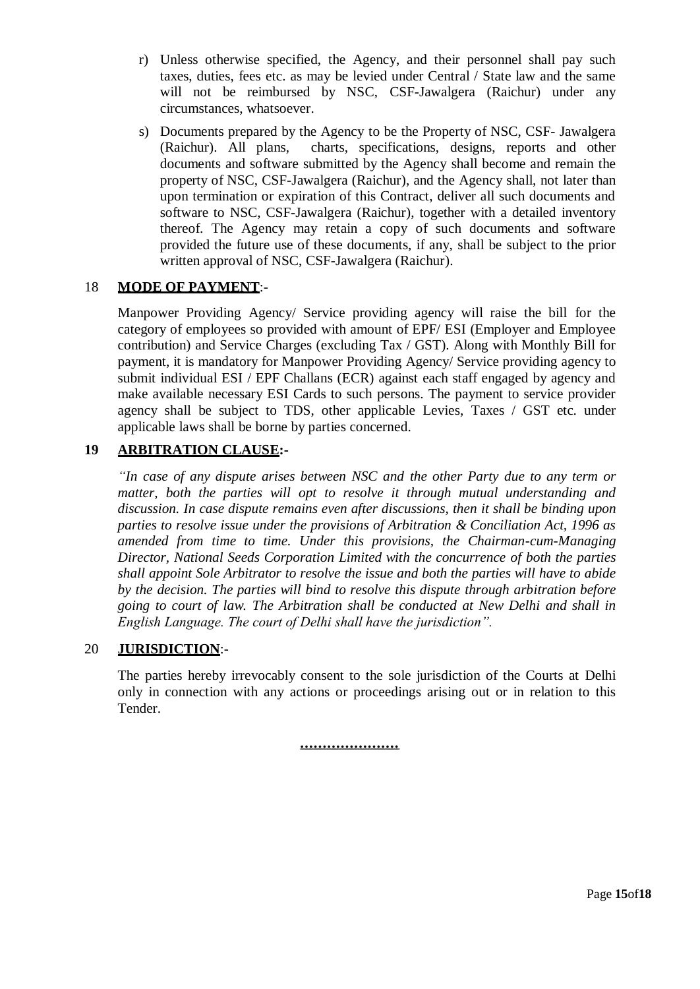- r) Unless otherwise specified, the Agency, and their personnel shall pay such taxes, duties, fees etc. as may be levied under Central / State law and the same will not be reimbursed by NSC, CSF-Jawalgera (Raichur) under any circumstances, whatsoever.
- s) Documents prepared by the Agency to be the Property of NSC, CSF- Jawalgera (Raichur). All plans, charts, specifications, designs, reports and other documents and software submitted by the Agency shall become and remain the property of NSC, CSF-Jawalgera (Raichur), and the Agency shall, not later than upon termination or expiration of this Contract, deliver all such documents and software to NSC, CSF-Jawalgera (Raichur), together with a detailed inventory thereof. The Agency may retain a copy of such documents and software provided the future use of these documents, if any, shall be subject to the prior written approval of NSC, CSF-Jawalgera (Raichur).

### 18 **MODE OF PAYMENT**:-

Manpower Providing Agency/ Service providing agency will raise the bill for the category of employees so provided with amount of EPF/ ESI (Employer and Employee contribution) and Service Charges (excluding Tax / GST). Along with Monthly Bill for payment, it is mandatory for Manpower Providing Agency/ Service providing agency to submit individual ESI / EPF Challans (ECR) against each staff engaged by agency and make available necessary ESI Cards to such persons. The payment to service provider agency shall be subject to TDS, other applicable Levies, Taxes / GST etc. under applicable laws shall be borne by parties concerned.

### **19 ARBITRATION CLAUSE:-**

*"In case of any dispute arises between NSC and the other Party due to any term or matter, both the parties will opt to resolve it through mutual understanding and discussion. In case dispute remains even after discussions, then it shall be binding upon parties to resolve issue under the provisions of Arbitration & Conciliation Act, 1996 as amended from time to time. Under this provisions, the Chairman-cum-Managing Director, National Seeds Corporation Limited with the concurrence of both the parties shall appoint Sole Arbitrator to resolve the issue and both the parties will have to abide by the decision. The parties will bind to resolve this dispute through arbitration before going to court of law. The Arbitration shall be conducted at New Delhi and shall in English Language. The court of Delhi shall have the jurisdiction".* 

### 20 **JURISDICTION**:-

The parties hereby irrevocably consent to the sole jurisdiction of the Courts at Delhi only in connection with any actions or proceedings arising out or in relation to this Tender.

*………………….*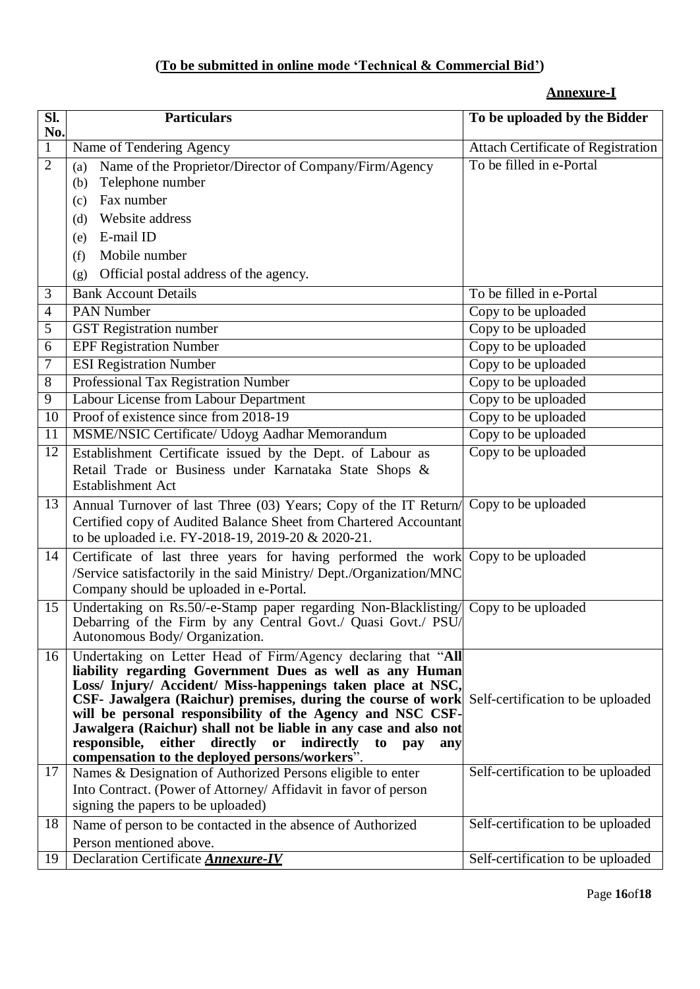# **(To be submitted in online mode 'Technical & Commercial Bid')**

### **Annexure-I**

| $\overline{\text{SL}}$<br>No. | <b>Particulars</b>                                                                                                                                                                                                                                                                                                                                                                                                                                                                                                                                  | To be uploaded by the Bidder              |
|-------------------------------|-----------------------------------------------------------------------------------------------------------------------------------------------------------------------------------------------------------------------------------------------------------------------------------------------------------------------------------------------------------------------------------------------------------------------------------------------------------------------------------------------------------------------------------------------------|-------------------------------------------|
| $\mathbf{1}$                  | Name of Tendering Agency                                                                                                                                                                                                                                                                                                                                                                                                                                                                                                                            | <b>Attach Certificate of Registration</b> |
| $\overline{2}$                | Name of the Proprietor/Director of Company/Firm/Agency<br>(a)<br>Telephone number<br>(b)<br>Fax number<br>(c)                                                                                                                                                                                                                                                                                                                                                                                                                                       | To be filled in e-Portal                  |
|                               | Website address<br>(d)<br>E-mail ID<br>(e)                                                                                                                                                                                                                                                                                                                                                                                                                                                                                                          |                                           |
|                               | Mobile number<br>(f)                                                                                                                                                                                                                                                                                                                                                                                                                                                                                                                                |                                           |
|                               | Official postal address of the agency.<br>(g)                                                                                                                                                                                                                                                                                                                                                                                                                                                                                                       |                                           |
| 3                             | <b>Bank Account Details</b>                                                                                                                                                                                                                                                                                                                                                                                                                                                                                                                         | To be filled in e-Portal                  |
| 4                             | PAN Number                                                                                                                                                                                                                                                                                                                                                                                                                                                                                                                                          | Copy to be uploaded                       |
| 5                             | <b>GST</b> Registration number                                                                                                                                                                                                                                                                                                                                                                                                                                                                                                                      | Copy to be uploaded                       |
| 6                             | <b>EPF Registration Number</b>                                                                                                                                                                                                                                                                                                                                                                                                                                                                                                                      | Copy to be uploaded                       |
| 7                             | <b>ESI Registration Number</b>                                                                                                                                                                                                                                                                                                                                                                                                                                                                                                                      | Copy to be uploaded                       |
| 8                             | Professional Tax Registration Number                                                                                                                                                                                                                                                                                                                                                                                                                                                                                                                | Copy to be uploaded                       |
| 9                             | Labour License from Labour Department                                                                                                                                                                                                                                                                                                                                                                                                                                                                                                               | Copy to be uploaded                       |
| 10                            | Proof of existence since from 2018-19                                                                                                                                                                                                                                                                                                                                                                                                                                                                                                               | Copy to be uploaded                       |
| 11                            | MSME/NSIC Certificate/ Udoyg Aadhar Memorandum                                                                                                                                                                                                                                                                                                                                                                                                                                                                                                      | Copy to be uploaded                       |
| 12                            | Establishment Certificate issued by the Dept. of Labour as                                                                                                                                                                                                                                                                                                                                                                                                                                                                                          | Copy to be uploaded                       |
|                               | Retail Trade or Business under Karnataka State Shops &<br><b>Establishment Act</b>                                                                                                                                                                                                                                                                                                                                                                                                                                                                  |                                           |
| 13                            | Annual Turnover of last Three (03) Years; Copy of the IT Return/<br>Certified copy of Audited Balance Sheet from Chartered Accountant<br>to be uploaded i.e. FY-2018-19, 2019-20 & 2020-21.                                                                                                                                                                                                                                                                                                                                                         | Copy to be uploaded                       |
| 14                            | Certificate of last three years for having performed the work Copy to be uploaded<br>/Service satisfactorily in the said Ministry/ Dept./Organization/MNC<br>Company should be uploaded in e-Portal.                                                                                                                                                                                                                                                                                                                                                |                                           |
| 15                            | Undertaking on Rs.50/-e-Stamp paper regarding Non-Blacklisting/ Copy to be uploaded<br>Debarring of the Firm by any Central Govt./ Quasi Govt./ PSU/<br>Autonomous Body/ Organization.                                                                                                                                                                                                                                                                                                                                                              |                                           |
| 16                            | Undertaking on Letter Head of Firm/Agency declaring that "All<br>liability regarding Government Dues as well as any Human<br>Loss/ Injury/ Accident/ Miss-happenings taken place at NSC,<br>CSF- Jawalgera (Raichur) premises, during the course of work Self-certification to be uploaded<br>will be personal responsibility of the Agency and NSC CSF-<br>Jawalgera (Raichur) shall not be liable in any case and also not<br>either directly or indirectly<br>responsible,<br>to<br>pay<br>any<br>compensation to the deployed persons/workers". |                                           |
| 17                            | Names & Designation of Authorized Persons eligible to enter                                                                                                                                                                                                                                                                                                                                                                                                                                                                                         | Self-certification to be uploaded         |
|                               | Into Contract. (Power of Attorney/ Affidavit in favor of person                                                                                                                                                                                                                                                                                                                                                                                                                                                                                     |                                           |
|                               | signing the papers to be uploaded)                                                                                                                                                                                                                                                                                                                                                                                                                                                                                                                  |                                           |
| 18                            | Name of person to be contacted in the absence of Authorized                                                                                                                                                                                                                                                                                                                                                                                                                                                                                         | Self-certification to be uploaded         |
|                               | Person mentioned above.                                                                                                                                                                                                                                                                                                                                                                                                                                                                                                                             |                                           |
| 19                            | Declaration Certificate <b>Annexure-IV</b>                                                                                                                                                                                                                                                                                                                                                                                                                                                                                                          | Self-certification to be uploaded         |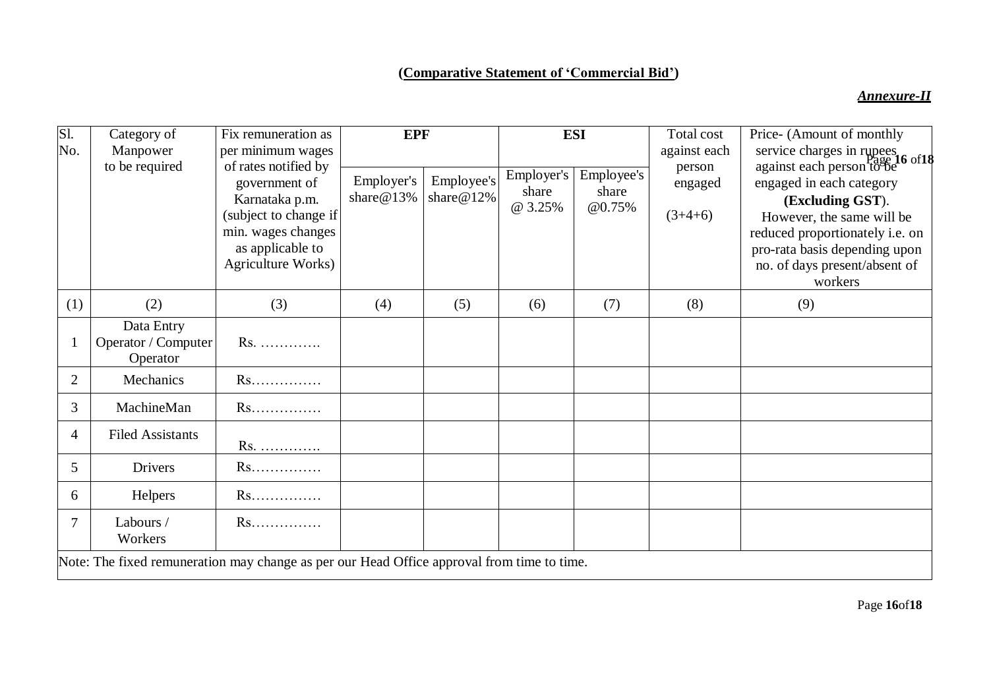## **(Comparative Statement of 'Commercial Bid')**

### *Annexure-II*

| Sl.                                                                                        | Category of                                   | Fix remuneration as                                                                                                             | <b>EPF</b>                  |                             | <b>ESI</b>                     |                               | Total cost             | Price- (Amount of monthly                                                                                                                                                                 |
|--------------------------------------------------------------------------------------------|-----------------------------------------------|---------------------------------------------------------------------------------------------------------------------------------|-----------------------------|-----------------------------|--------------------------------|-------------------------------|------------------------|-------------------------------------------------------------------------------------------------------------------------------------------------------------------------------------------|
| No.                                                                                        | Manpower<br>to be required                    | per minimum wages<br>of rates notified by                                                                                       |                             |                             |                                |                               | against each<br>person | service charges in rupees<br>against each person to be<br>do of 18                                                                                                                        |
|                                                                                            |                                               | government of<br>Karnataka p.m.<br>(subject to change if<br>min. wages changes<br>as applicable to<br><b>Agriculture Works)</b> | Employer's<br>share $@13\%$ | Employee's<br>share $@12\%$ | Employer's<br>share<br>@ 3.25% | Employee's<br>share<br>@0.75% | engaged<br>$(3+4+6)$   | engaged in each category<br>(Excluding GST).<br>However, the same will be<br>reduced proportionately i.e. on<br>pro-rata basis depending upon<br>no. of days present/absent of<br>workers |
| (1)                                                                                        | (2)                                           | (3)                                                                                                                             | (4)                         | (5)                         | (6)                            | (7)                           | (8)                    | (9)                                                                                                                                                                                       |
|                                                                                            | Data Entry<br>Operator / Computer<br>Operator | Rs.                                                                                                                             |                             |                             |                                |                               |                        |                                                                                                                                                                                           |
| $\overline{2}$                                                                             | Mechanics                                     | Rs                                                                                                                              |                             |                             |                                |                               |                        |                                                                                                                                                                                           |
| 3                                                                                          | MachineMan                                    | $Rs.\dots\dots$                                                                                                                 |                             |                             |                                |                               |                        |                                                                                                                                                                                           |
| 4                                                                                          | <b>Filed Assistants</b>                       | Rs.                                                                                                                             |                             |                             |                                |                               |                        |                                                                                                                                                                                           |
| 5                                                                                          | <b>Drivers</b>                                | Rs                                                                                                                              |                             |                             |                                |                               |                        |                                                                                                                                                                                           |
| 6                                                                                          | Helpers                                       | Rs                                                                                                                              |                             |                             |                                |                               |                        |                                                                                                                                                                                           |
| 7                                                                                          | Labours /<br>Workers                          | Rs                                                                                                                              |                             |                             |                                |                               |                        |                                                                                                                                                                                           |
| Note: The fixed remuneration may change as per our Head Office approval from time to time. |                                               |                                                                                                                                 |                             |                             |                                |                               |                        |                                                                                                                                                                                           |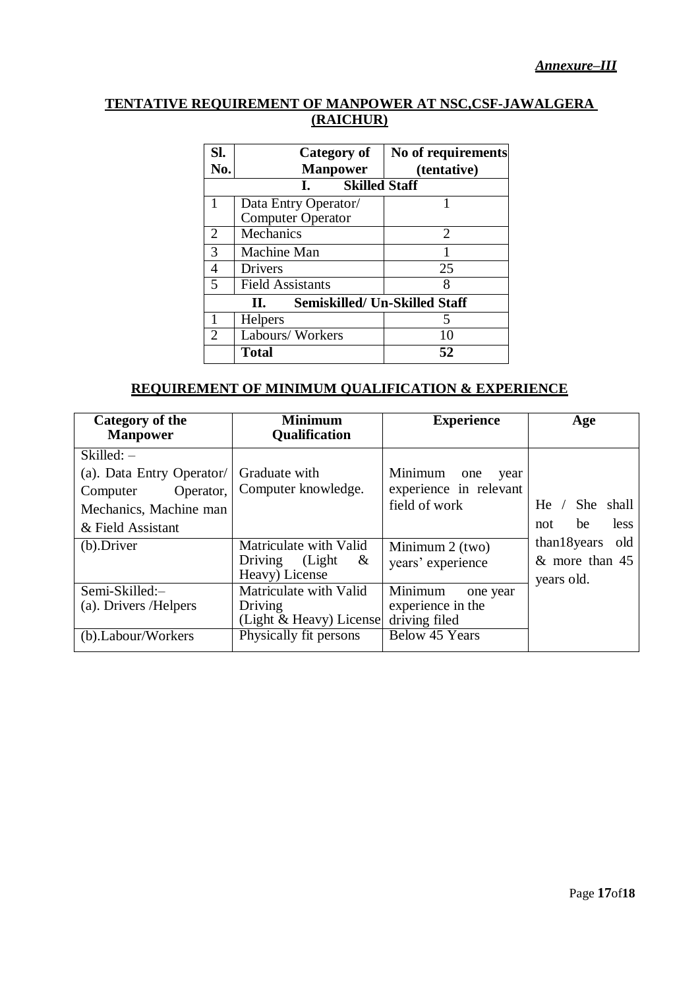### **TENTATIVE REQUIREMENT OF MANPOWER AT NSC,CSF-JAWALGERA (RAICHUR)**

| SI.<br>No.                                 | Category of<br><b>Manpower</b> | No of requirements<br>(tentative) |  |  |
|--------------------------------------------|--------------------------------|-----------------------------------|--|--|
| <b>Skilled Staff</b><br>$\mathbf{L}$       |                                |                                   |  |  |
| 1                                          | Data Entry Operator/           |                                   |  |  |
|                                            | <b>Computer Operator</b>       |                                   |  |  |
| 2                                          | Mechanics                      | $\mathcal{D}_{\mathcal{L}}$       |  |  |
| 3                                          | Machine Man                    |                                   |  |  |
| 4                                          | <b>Drivers</b>                 | 25                                |  |  |
| 5                                          | <b>Field Assistants</b>        | 8                                 |  |  |
| <b>Semiskilled/ Un-Skilled Staff</b><br>П. |                                |                                   |  |  |
|                                            | <b>Helpers</b>                 |                                   |  |  |
| $\mathcal{D}_{\cdot}$                      | Labours/Workers                | 10                                |  |  |
|                                            | Total                          | 52                                |  |  |

### **REQUIREMENT OF MINIMUM QUALIFICATION & EXPERIENCE**

| <b>Category of the</b><br><b>Manpower</b>                                                                         | <b>Minimum</b><br><b>Qualification</b>                                     | <b>Experience</b>                                                 | Age                                                   |
|-------------------------------------------------------------------------------------------------------------------|----------------------------------------------------------------------------|-------------------------------------------------------------------|-------------------------------------------------------|
| $Skilled: -$<br>(a). Data Entry Operator/<br>Operator,<br>Computer<br>Mechanics, Machine man<br>& Field Assistant | Graduate with<br>Computer knowledge.                                       | Minimum<br>one<br>year<br>experience in relevant<br>field of work | shall<br>She.<br>$He$ /<br>less<br>be<br>not          |
| (b).Driver                                                                                                        | Matriculate with Valid<br>(Light)<br>Driving<br>$\alpha$<br>Heavy) License | Minimum $2$ (two)<br>years' experience                            | than18 years<br>old<br>$&$ more than 45<br>years old. |
| Semi-Skilled:-<br>(a). Drivers / Helpers                                                                          | Matriculate with Valid<br>Driving<br>(Light & Heavy) License               | Minimum<br>one year<br>experience in the<br>driving filed         |                                                       |
| (b).Labour/Workers                                                                                                | Physically fit persons                                                     | <b>Below 45 Years</b>                                             |                                                       |